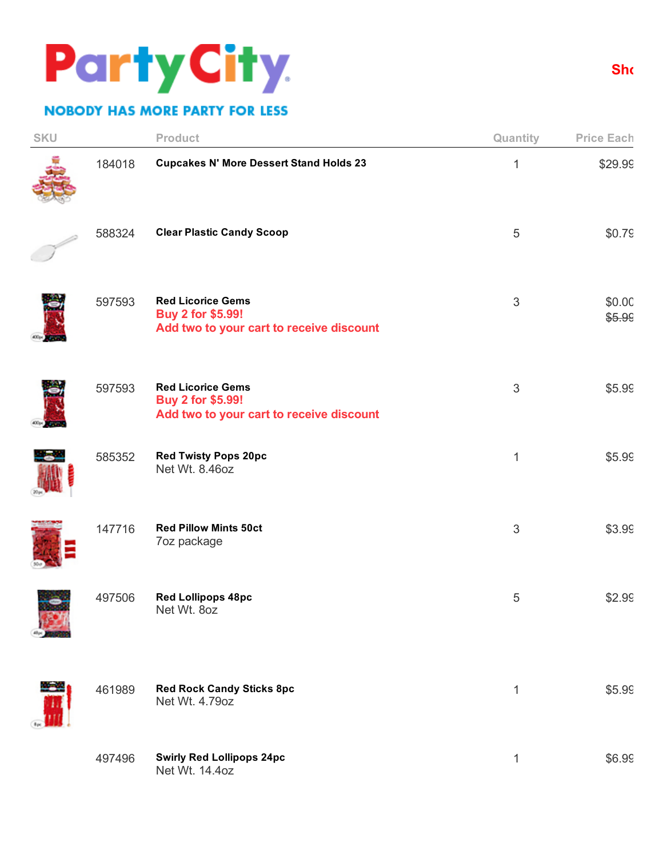## **Party City.**

## **NOBODY HAS MORE PARTY FOR LESS**

| <b>SKU</b> |        | Product                                                                                          | Quantity       | <b>Price Each</b> |
|------------|--------|--------------------------------------------------------------------------------------------------|----------------|-------------------|
|            | 184018 | <b>Cupcakes N' More Dessert Stand Holds 23</b>                                                   | 1              | \$29.99           |
|            | 588324 | <b>Clear Plastic Candy Scoop</b>                                                                 | 5              | \$0.79            |
|            | 597593 | <b>Red Licorice Gems</b><br><b>Buy 2 for \$5.99!</b><br>Add two to your cart to receive discount | $\mathfrak{S}$ | \$0.00<br>\$5.99  |
|            | 597593 | <b>Red Licorice Gems</b><br><b>Buy 2 for \$5.99!</b><br>Add two to your cart to receive discount | 3              | \$5.99            |
|            | 585352 | <b>Red Twisty Pops 20pc</b><br>Net Wt. 8.46oz                                                    | 1              | \$5.99            |
|            | 147716 | <b>Red Pillow Mints 50ct</b><br>7oz package                                                      | $\sqrt{3}$     | \$3.99            |
|            | 497506 | <b>Red Lollipops 48pc</b><br>Net Wt. 8oz                                                         | 5              | \$2.99            |
|            | 461989 | <b>Red Rock Candy Sticks 8pc</b><br>Net Wt. 4.79oz                                               | 1              | \$5.99            |
|            | 497496 | <b>Swirly Red Lollipops 24pc</b><br>Net Wt. 14.4oz                                               | 1              | \$6.99            |

**Shop**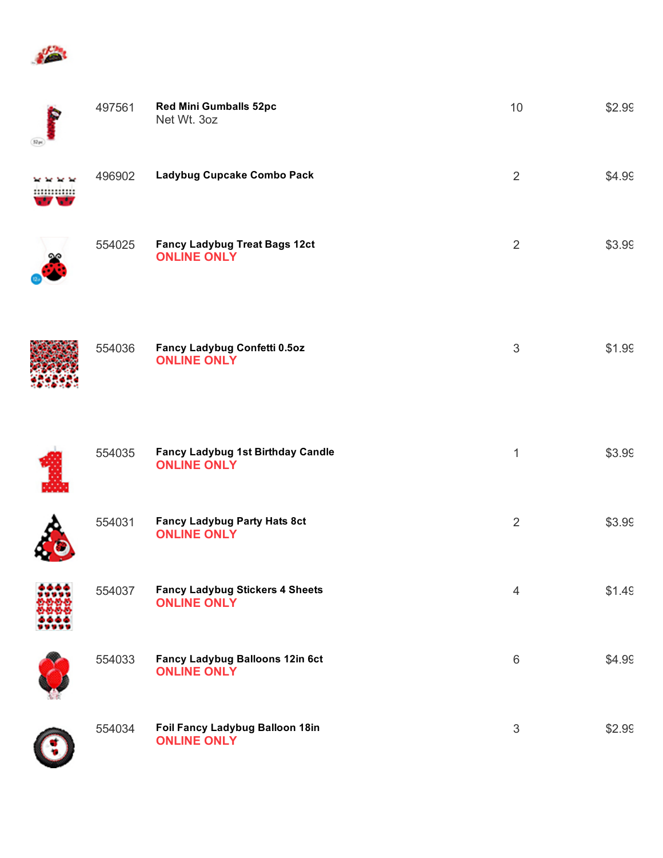

| 52p    | 497561 | <b>Red Mini Gumballs 52pc</b><br>Net Wt. 3oz                 | 10             | \$2.99 |
|--------|--------|--------------------------------------------------------------|----------------|--------|
|        | 496902 | Ladybug Cupcake Combo Pack                                   | $\overline{2}$ | \$4.99 |
|        | 554025 | <b>Fancy Ladybug Treat Bags 12ct</b><br><b>ONLINE ONLY</b>   | $\overline{2}$ | \$3.99 |
|        | 554036 | Fancy Ladybug Confetti 0.5oz<br><b>ONLINE ONLY</b>           | 3              | \$1.99 |
|        | 554035 | Fancy Ladybug 1st Birthday Candle<br><b>ONLINE ONLY</b>      | 1              | \$3.99 |
|        | 554031 | <b>Fancy Ladybug Party Hats 8ct</b><br><b>ONLINE ONLY</b>    | $\overline{2}$ | \$3.99 |
| ------ | 554037 | <b>Fancy Ladybug Stickers 4 Sheets</b><br><b>ONLINE ONLY</b> | $\overline{4}$ | \$1.49 |
|        | 554033 | Fancy Ladybug Balloons 12in 6ct<br><b>ONLINE ONLY</b>        | 6              | \$4.99 |
|        | 554034 | Foil Fancy Ladybug Balloon 18in<br><b>ONLINE ONLY</b>        | $\mathfrak{S}$ | \$2.99 |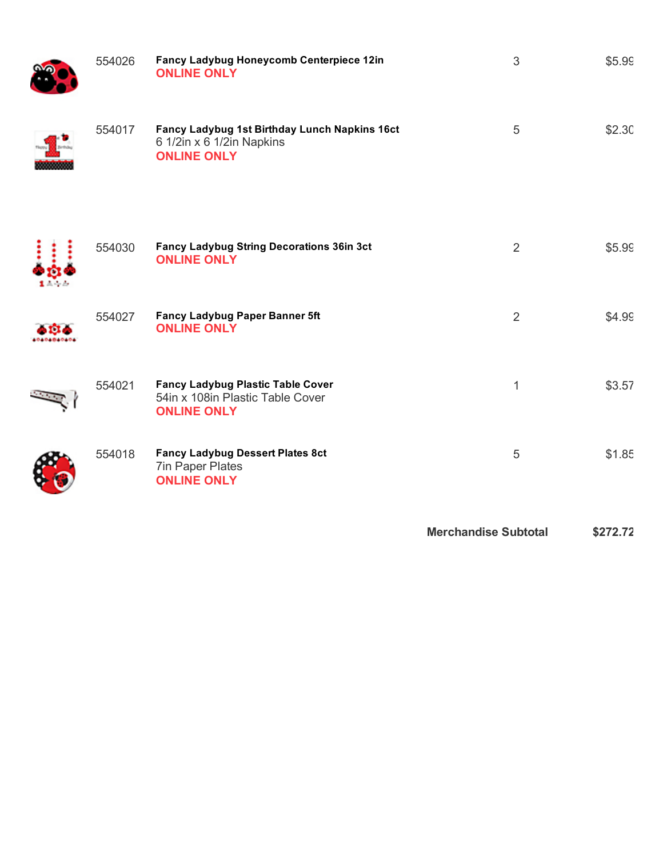| 554026 | Fancy Ladybug Honeycomb Centerpiece 12in<br><b>ONLINE ONLY</b>                                     | 3              | \$5.99 |
|--------|----------------------------------------------------------------------------------------------------|----------------|--------|
| 554017 | Fancy Ladybug 1st Birthday Lunch Napkins 16ct<br>6 1/2in x 6 1/2in Napkins<br><b>ONLINE ONLY</b>   | 5              | \$2.30 |
| 554030 | <b>Fancy Ladybug String Decorations 36in 3ct</b><br><b>ONLINE ONLY</b>                             | $\overline{2}$ | \$5.99 |
| 554027 | Fancy Ladybug Paper Banner 5ft<br><b>ONLINE ONLY</b>                                               | 2              | \$4.99 |
| 554021 | <b>Fancy Ladybug Plastic Table Cover</b><br>54in x 108in Plastic Table Cover<br><b>ONLINE ONLY</b> | $\mathbf{1}$   | \$3.57 |
| 554018 | <b>Fancy Ladybug Dessert Plates 8ct</b><br><b>7in Paper Plates</b><br><b>ONLINE ONLY</b>           | 5              | \$1.85 |

**Merchandise Subtotal \$272.72**